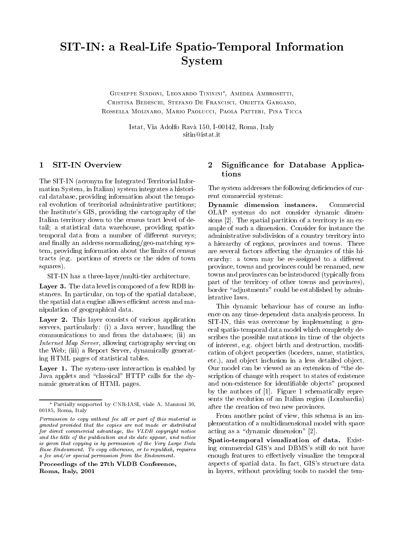# SIT-IN: <sup>a</sup> Real-Life Spatio-Temporal Information System

Giuseppe Sindoni, Leonardo Tininini , Amedea Ambrosetti, Cristina Bedeschi, Stefano De Francisci, Orietta Gargano, Rossella Molinaro, Mario Paolucci, Paola Patteri, Pina Ticca

> Istat, Via Adolfo Rava 150, I-00142, Roma, Italy sitin@istat.it

## 1 SIT-IN Overview

The SIT-IN (acronym for Integrated Territorial Information System, in Italian) system integrates a historical database, providing information about the temporal evolution of territorial administrative partitions; the Institute's GIS, providing the cartography of the Italian territory down to the census tract level of detail; a statistical data warehouse, providing spatiotemporal data from a number of different surveys; and finally an address normalizing/geo-matching system, providing information about the limits of census tracts (e.g. portions of streets or the sides of town squares).

SIT-IN has a three-layer/multi-tier architecture.

Layer 3. The data level is composed of a few RDB instances. In particular, on top of the spatial database, the spatial data engine allows efficient access and manipulation of geographical data.

 $\mathcal{L}$  are  $\mathcal{L}$  . This layer consists of various applications of  $\mathcal{L}$ servers, particularly: (i) a Java server, handling the communications to and from the databases; (ii) an Internet Map Server, allowing cartography serving on the Web; (iii) a Report Server, dynamically generating HTML pages of statistical tables.

 $\mathbf{L}$  is  $\mathbf{L}$  . The system-user interaction is enabled by  $\mathbf{L}$ Java applets and "classical" HTTP calls for the dynamic generation of HTML pages.

Proceedings of the 27th VLDB Conference,Roma, Italy, 2001

# 2 Signicance for Database Applications

The system addresses the following deficiencies of current commercial systems:

Dynamic dimension instances. Commercial OLAP systems do not consider dynamic dimensions [2]. The spatial partition of a territory is an example of such a dimension. Consider for instance the administrative subdivision of a country territory into a hierarchy of regions, provinces and towns. There are several factors affecting the dynamics of this hierarchy: a town may be re-assigned to a different province, towns and provinces could be renamed, new towns and provinces can be introduced (typically from part of the territory of other towns and provinces), border "adjustments" could be established by administrative laws.

This dynamic behaviour has of course an influence on any time-dependent data analysis process. In SIT-IN, this was overcome by implementing a general spatio-temporal data model which completely describes the possible mutations in time of the ob jects of interest, e.g. object birth and destruction, modification of object properties (borders, name, statistics, etc.), and object inclusion in a less detailed object. Our model can be viewed as an extension of \the description of change with respect to states of existence and non-existence for identiable ob jects" proposed by the authors of [1]. Figure 1 schematically represents the evolution of an Italian region (Lombardia) after the creation of two new provinces.

 plementation of a multidimensional model with space From another point of view, this schema is an imacting as a "dynamic dimension"  $[2]$ .

Partially supported by CNR-IASI, viale A. Manzoni 30, 00185, Roma, Italy

Permission to copy without fee all or part of this material is granted provided that the copies are not made or distributed for direct commercial advantage, the VLDB copyright notice and the title of the publication and its date appear, and noticeis given that copying is by permission of the Very Large DataBase Endowment. To copy otherwise, or to republish, requires a fee and/or special permission from the Endowment.

Spatio-temporal visualization of data. Exist ing commercial GIS's and DBMS's still do not have enough features to effectively visualize the temporal aspects of spatial data. In fact, GIS's structure data in layers, without providing tools to model the tem-